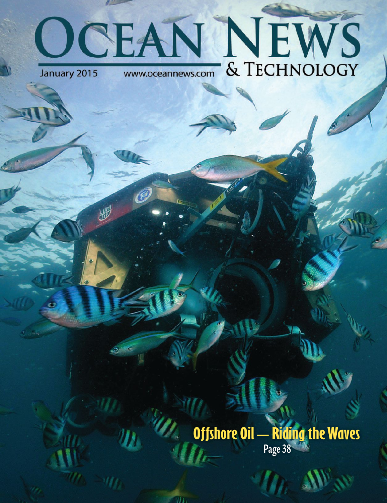## **OCEAN NEWS**

## **Offshore Oil – Riding the Waves Page 38**